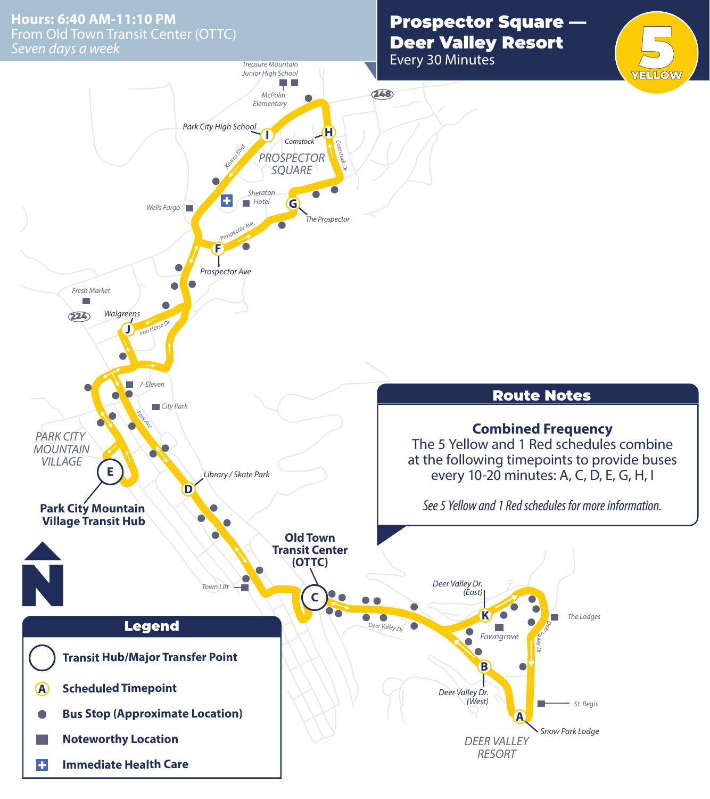From Old Town Transit Center (OTTC)<br>Seven days a week *Seven days a week* **Hours: 6:40 AM-11:10 PM**

## Prospector Square —

Every 30 Minutes